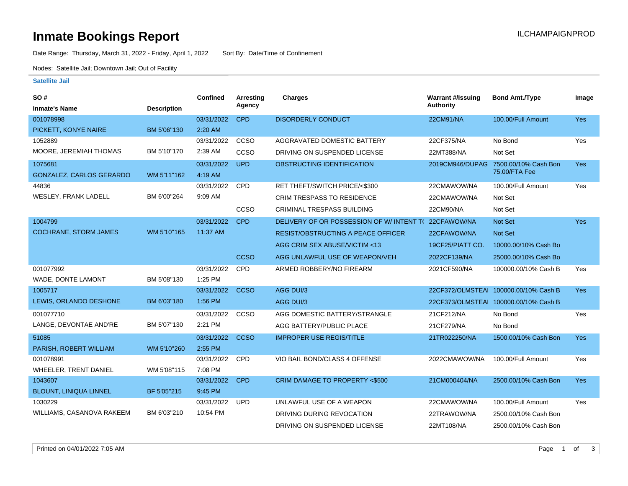### **Inmate Bookings Report International Contract Contract Contract Contract Contract Contract Contract Contract Contract Contract Contract Contract Contract Contract Contract Contract Contract Contract Contract Contract Co**

Date Range: Thursday, March 31, 2022 - Friday, April 1, 2022 Sort By: Date/Time of Confinement

Nodes: Satellite Jail; Downtown Jail; Out of Facility

#### **Satellite Jail**

| SO#                           |                    | <b>Confined</b> | <b>Arresting</b> | Charges                                   | <b>Warrant #/Issuing</b> | <b>Bond Amt./Type</b>                 | Image      |
|-------------------------------|--------------------|-----------------|------------------|-------------------------------------------|--------------------------|---------------------------------------|------------|
| <b>Inmate's Name</b>          | <b>Description</b> |                 | Agency           |                                           | <b>Authority</b>         |                                       |            |
| 001078998                     |                    | 03/31/2022      | <b>CPD</b>       | <b>DISORDERLY CONDUCT</b>                 | 22CM91/NA                | 100.00/Full Amount                    | Yes        |
| PICKETT, KONYE NAIRE          | BM 5'06"130        | 2:20 AM         |                  |                                           |                          |                                       |            |
| 1052889                       |                    | 03/31/2022      | CCSO             | AGGRAVATED DOMESTIC BATTERY               | 22CF375/NA               | No Bond                               | Yes        |
| MOORE, JEREMIAH THOMAS        | BM 5'10"170        | 2:39 AM         | CCSO             | DRIVING ON SUSPENDED LICENSE              | 22MT388/NA               | Not Set                               |            |
| 1075681                       |                    | 03/31/2022      | <b>UPD</b>       | OBSTRUCTING IDENTIFICATION                | 2019CM946/DUPAG          | 7500.00/10% Cash Bon                  | <b>Yes</b> |
| GONZALEZ, CARLOS GERARDO      | WM 5'11"162        | 4:19 AM         |                  |                                           |                          | 75.00/FTA Fee                         |            |
| 44836                         |                    | 03/31/2022      | <b>CPD</b>       | RET THEFT/SWITCH PRICE/<\$300             | 22CMAWOW/NA              | 100.00/Full Amount                    | Yes        |
| WESLEY, FRANK LADELL          | BM 6'00"264        | 9:09 AM         |                  | <b>CRIM TRESPASS TO RESIDENCE</b>         | 22CMAWOW/NA              | Not Set                               |            |
|                               |                    |                 | CCSO             | <b>CRIMINAL TRESPASS BUILDING</b>         | 22CM90/NA                | Not Set                               |            |
| 1004799                       |                    | 03/31/2022      | <b>CPD</b>       | DELIVERY OF OR POSSESSION OF W/ INTENT TO | 22CFAWOW/NA              | Not Set                               | Yes        |
| <b>COCHRANE, STORM JAMES</b>  | WM 5'10"165        | 11:37 AM        |                  | <b>RESIST/OBSTRUCTING A PEACE OFFICER</b> | 22CFAWOW/NA              | <b>Not Set</b>                        |            |
|                               |                    |                 |                  | AGG CRIM SEX ABUSE/VICTIM <13             | 19CF25/PIATT CO.         | 10000.00/10% Cash Bo                  |            |
|                               |                    |                 | <b>CCSO</b>      | AGG UNLAWFUL USE OF WEAPON/VEH            | 2022CF139/NA             | 25000.00/10% Cash Bo                  |            |
| 001077992                     |                    | 03/31/2022      | <b>CPD</b>       | ARMED ROBBERY/NO FIREARM                  | 2021CF590/NA             | 100000.00/10% Cash B                  | Yes        |
| WADE, DONTE LAMONT            | BM 5'08"130        | 1:25 PM         |                  |                                           |                          |                                       |            |
| 1005717                       |                    | 03/31/2022      | <b>CCSO</b>      | AGG DUI/3                                 |                          | 22CF372/OLMSTEAI 100000.00/10% Cash B | <b>Yes</b> |
| LEWIS, ORLANDO DESHONE        | BM 6'03"180        | 1:56 PM         |                  | AGG DUI/3                                 |                          | 22CF373/OLMSTEAI 100000.00/10% Cash B |            |
| 001077710                     |                    | 03/31/2022      | CCSO             | AGG DOMESTIC BATTERY/STRANGLE             | 21CF212/NA               | No Bond                               | Yes        |
| LANGE, DEVONTAE AND'RE        | BM 5'07"130        | 2:21 PM         |                  | AGG BATTERY/PUBLIC PLACE                  | 21CF279/NA               | No Bond                               |            |
| 51085                         |                    | 03/31/2022      | <b>CCSO</b>      | <b>IMPROPER USE REGIS/TITLE</b>           | 21TR022250/NA            | 1500.00/10% Cash Bon                  | <b>Yes</b> |
| PARISH, ROBERT WILLIAM        | WM 5'10"260        | 2:55 PM         |                  |                                           |                          |                                       |            |
| 001078991                     |                    | 03/31/2022      | <b>CPD</b>       | VIO BAIL BOND/CLASS 4 OFFENSE             | 2022CMAWOW/NA            | 100.00/Full Amount                    | Yes        |
| <b>WHEELER, TRENT DANIEL</b>  | WM 5'08"115        | 7:08 PM         |                  |                                           |                          |                                       |            |
| 1043607                       |                    | 03/31/2022      | <b>CPD</b>       | CRIM DAMAGE TO PROPERTY <\$500            | 21CM000404/NA            | 2500.00/10% Cash Bon                  | <b>Yes</b> |
| <b>BLOUNT, LINIQUA LINNEL</b> | BF 5'05"215        | 9:45 PM         |                  |                                           |                          |                                       |            |
| 1030229                       |                    | 03/31/2022      | <b>UPD</b>       | UNLAWFUL USE OF A WEAPON                  | 22CMAWOW/NA              | 100.00/Full Amount                    | Yes        |
| WILLIAMS, CASANOVA RAKEEM     | BM 6'03"210        | 10:54 PM        |                  | DRIVING DURING REVOCATION                 | 22TRAWOW/NA              | 2500.00/10% Cash Bon                  |            |
|                               |                    |                 |                  | DRIVING ON SUSPENDED LICENSE              | 22MT108/NA               | 2500.00/10% Cash Bon                  |            |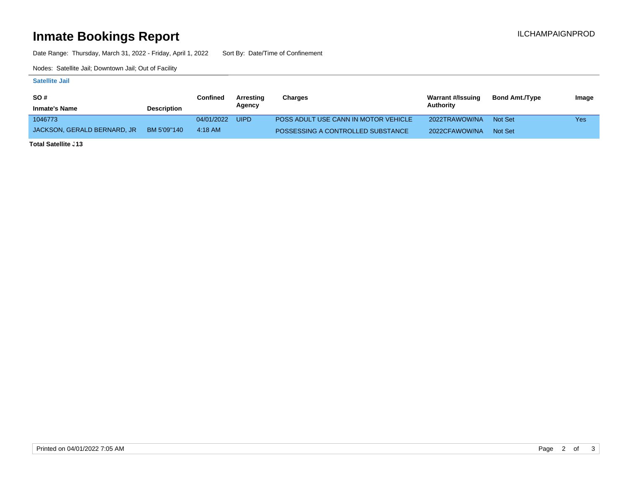# **Inmate Bookings Report Installation ILCHAMPAIGNPROD**

Date Range: Thursday, March 31, 2022 - Friday, April 1, 2022 Sort By: Date/Time of Confinement

Nodes: Satellite Jail; Downtown Jail; Out of Facility

#### **Satellite Jail**

| <b>SO#</b>                  |                    | Confined   | Arresting   | Charges                              | Warrant #/Issuing | <b>Bond Amt./Type</b> | Image |
|-----------------------------|--------------------|------------|-------------|--------------------------------------|-------------------|-----------------------|-------|
| <b>Inmate's Name</b>        | <b>Description</b> |            | Agency      |                                      | Authority         |                       |       |
| 1046773                     |                    | 04/01/2022 | <b>UIPD</b> | POSS ADULT USE CANN IN MOTOR VEHICLE | 2022TRAWOW/NA     | Not Set               | Yes   |
| JACKSON. GERALD BERNARD. JR | BM 5'09"140        | 4:18 AM    |             | POSSESSING A CONTROLLED SUBSTANCE    | 2022CFAWOW/NA     | Not Set               |       |

**Total Satellite <sub>-</sub>13**